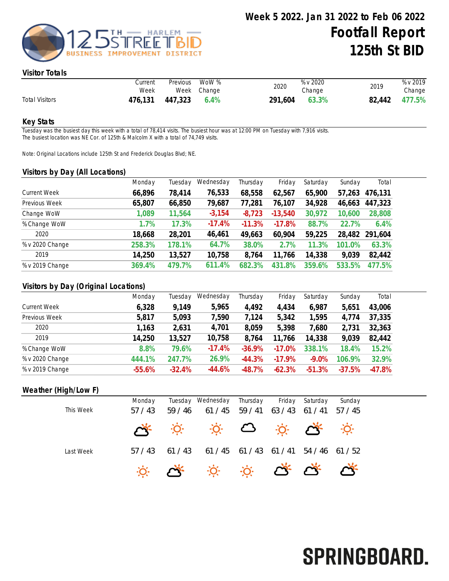

SPRINGBOARD.

### Visitor Totals

|                       | Current<br>Week | Previous | WoW %<br>Week Change | 2020    | % v 2020<br>Change | 2019          | % v 2019<br>Change |
|-----------------------|-----------------|----------|----------------------|---------|--------------------|---------------|--------------------|
| <b>Total Visitors</b> | 476,131         | 447,323  | $6.4\%$              | 291,604 | 63.3%              | 82,442 477.5% |                    |

#### Key Stats

Tuesday was the busiest day this week with a total of 78,414 visits. The busiest hour was at 12:00 PM on Tuesday with 7,916 visits. The busiest location was NE Cor. of 125th & Malcolm X with a total of 74,749 visits.

Note: Original Locations include 125th St and Frederick Douglas Blvd; NE.

#### Visitors by Day (All Locations)

|                     | Monday | Tuesday | Wednesday | Thursday | Friday     | Saturday | Sunday | Total   |
|---------------------|--------|---------|-----------|----------|------------|----------|--------|---------|
| <b>Current Week</b> | 66,896 | 78,414  | 76,533    | 68,558   | 62,567     | 65,900   | 57,263 | 476,131 |
| Previous Week       | 65,807 | 66,850  | 79,687    | 77,281   | 76,107     | 34,928   | 46,663 | 447,323 |
| Change WoW          | 1,089  | 11,564  | $-3,154$  | $-8,723$ | $-13,540$  | 30,972   | 10,600 | 28,808  |
| % Change WoW        | 1.7%   | 17.3%   | $-17.4%$  | $-11.3%$ | $-17.8%$   | 88.7%    | 22.7%  | 6.4%    |
| 2020                | 18,668 | 28,201  | 46,461    | 49,663   | 60,904     | 59,225   | 28,482 | 291,604 |
| % v 2020 Change     | 258.3% | 178.1%  | 64.7%     | 38.0%    | 2.7%       | 11.3%    | 101.0% | 63.3%   |
| 2019                | 14,250 | 13,527  | 10,758    | 8,764    | 11,766     | 14,338   | 9,039  | 82,442  |
| % v 2019 Change     | 369.4% | 479.7%  | 611.4%    | 682.3%   | .8%<br>431 | 359.6%   | 533.5% | 77.5%   |
|                     |        |         |           |          |            |          |        |         |

## Visitors by Day (Original Locations)

|                     | Monday   | Tuesday  | Wednesday | Thursday | Friday    | Saturday | Sunday   | Total    |
|---------------------|----------|----------|-----------|----------|-----------|----------|----------|----------|
| <b>Current Week</b> | 6,328    | 9,149    | 5,965     | 4,492    | 4,434     | 6,987    | 5,651    | 43,006   |
| Previous Week       | 5,817    | 5,093    | 7,590     | 7,124    | 5,342     | 1,595    | 4,774    | 37,335   |
| 2020                | 1,163    | 2,631    | 4,701     | 8,059    | 5,398     | 7,680    | 2,731    | 32,363   |
| 2019                | 14,250   | 13,527   | 10,758    | 8,764    | 11,766    | 14,338   | 9,039    | 82,442   |
| % Change WoW        | 8.8%     | 79.6%    | $-17.4%$  | $-36.9%$ | $-17.0%$  | 338.1%   | 18.4%    | 15.2%    |
| % v 2020 Change     | 444.1%   | 247.7%   | 26.9%     | $-44.3%$ | $-17.9\%$ | $-9.0%$  | 106.9%   | 32.9%    |
| % v 2019 Change     | $-55.6%$ | $-32.4%$ | $-44.6%$  | $-48.7%$ | $-62.3%$  | $-51.3%$ | $-37.5%$ | $-47.8%$ |

### Weather (High/Low F)

|           | Monday        |                                 | Tuesday Wednesday                                                                                                                  | Thursday | Friday | Saturday      | Sunday           |  |
|-----------|---------------|---------------------------------|------------------------------------------------------------------------------------------------------------------------------------|----------|--------|---------------|------------------|--|
| This Week | 57/43         | 59/46                           | 61 / 45                                                                                                                            | 59/41    | 63/43  | 61/41         | 57/45            |  |
|           | $\mathcal{L}$ |                                 | $\begin{array}{ccccccccccccc}\n\ddot{\varphi} & \dot{\varphi} & \mathbf{C} & \dot{\varphi} & \mathbf{C} & \mathbf{C}\n\end{array}$ |          |        |               | $\cdot$ <u>Ó</u> |  |
| Last Week | 57/43         | 61/43                           | 61 / 45                                                                                                                            | 61 / 43  | 61/41  | $54/46$ 61/52 |                  |  |
|           |               | $\ddot{\alpha}$ $\ddot{\alpha}$ | $\mathbb{R}^n \times \mathbb{R}^n \times \mathbb{R}^n \times \mathbb{R}^n$                                                         |          |        |               |                  |  |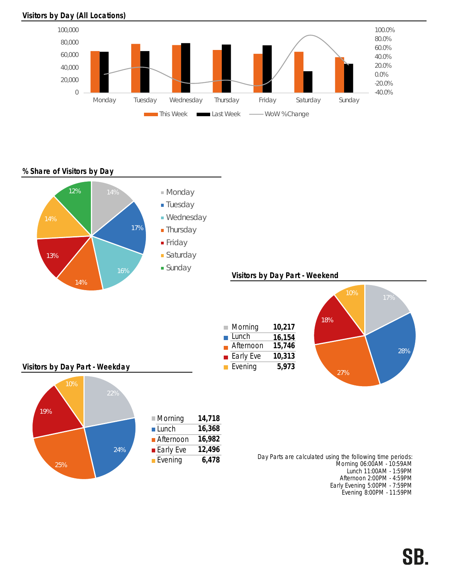

### Visitors by Day (All Locations)

## % Share of Visitors by Day



Early Evening 5:00PM - 7:59PM Evening 8:00PM - 11:59PM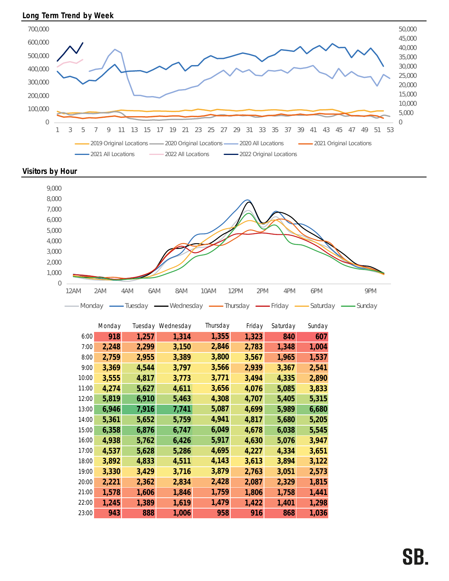





|       | Monday |       | Tuesday Wednesday | Thursday | Friday | Saturday | Sunday |
|-------|--------|-------|-------------------|----------|--------|----------|--------|
| 6:00  | 918    | 1,257 | 1,314             | 1,355    | 1,323  | 840      | 607    |
| 7:00  | 2,248  | 2,299 | 3,150             | 2,846    | 2,783  | 1,348    | 1,004  |
| 8:00  | 2,759  | 2,955 | 3,389             | 3,800    | 3,567  | 1,965    | 1,537  |
| 9:00  | 3,369  | 4,544 | 3,797             | 3,566    | 2,939  | 3,367    | 2,541  |
| 10:00 | 3,555  | 4,817 | 3,773             | 3,771    | 3,494  | 4,335    | 2,890  |
| 11:00 | 4,274  | 5,627 | 4,611             | 3,656    | 4,076  | 5,085    | 3,833  |
| 12:00 | 5,819  | 6,910 | 5,463             | 4,308    | 4,707  | 5,405    | 5,315  |
| 13:00 | 6,946  | 7,916 | 7,741             | 5,087    | 4,699  | 5,989    | 6,680  |
| 14:00 | 5,361  | 5,652 | 5,759             | 4,941    | 4,817  | 5,680    | 5,205  |
| 15:00 | 6,358  | 6,876 | 6,747             | 6,049    | 4,678  | 6,038    | 5,545  |
| 16:00 | 4,938  | 5,762 | 6,426             | 5,917    | 4,630  | 5,076    | 3,947  |
| 17:00 | 4,537  | 5,628 | 5,286             | 4,695    | 4,227  | 4,334    | 3,651  |
| 18:00 | 3,892  | 4,833 | 4,511             | 4,143    | 3,613  | 3,894    | 3,122  |
| 19:00 | 3,330  | 3,429 | 3,716             | 3,879    | 2,763  | 3,051    | 2,573  |
| 20:00 | 2,221  | 2,362 | 2,834             | 2,428    | 2,087  | 2,329    | 1,815  |
| 21:00 | 1,578  | 1,606 | 1,846             | 1,759    | 1,806  | 1,758    | 1,441  |
| 22:00 | 1,245  | 1,389 | 1,619             | 1,479    | 1,422  | 1,401    | 1,298  |
| 23:00 | 943    | 888   | 1,006             | 958      | 916    | 868      | 1,036  |